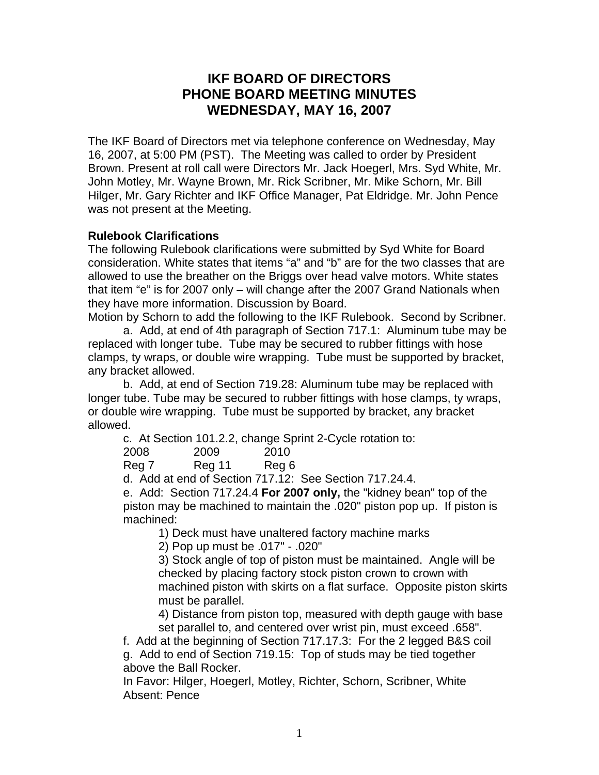# **IKF BOARD OF DIRECTORS PHONE BOARD MEETING MINUTES WEDNESDAY, MAY 16, 2007**

The IKF Board of Directors met via telephone conference on Wednesday, May 16, 2007, at 5:00 PM (PST). The Meeting was called to order by President Brown. Present at roll call were Directors Mr. Jack Hoegerl, Mrs. Syd White, Mr. John Motley, Mr. Wayne Brown, Mr. Rick Scribner, Mr. Mike Schorn, Mr. Bill Hilger, Mr. Gary Richter and IKF Office Manager, Pat Eldridge. Mr. John Pence was not present at the Meeting.

# **Rulebook Clarifications**

The following Rulebook clarifications were submitted by Syd White for Board consideration. White states that items "a" and "b" are for the two classes that are allowed to use the breather on the Briggs over head valve motors. White states that item "e" is for 2007 only – will change after the 2007 Grand Nationals when they have more information. Discussion by Board.

Motion by Schorn to add the following to the IKF Rulebook. Second by Scribner.

a. Add, at end of 4th paragraph of Section 717.1: Aluminum tube may be replaced with longer tube. Tube may be secured to rubber fittings with hose clamps, ty wraps, or double wire wrapping. Tube must be supported by bracket, any bracket allowed.

b. Add, at end of Section 719.28: Aluminum tube may be replaced with longer tube. Tube may be secured to rubber fittings with hose clamps, ty wraps, or double wire wrapping. Tube must be supported by bracket, any bracket allowed.

c. At Section 101.2.2, change Sprint 2-Cycle rotation to:

| 2008           | 2009         | 2010 |
|----------------|--------------|------|
| . <del>.</del> | . <i>. .</i> |      |

Reg 7 Reg 11 Reg 6

d. Add at end of Section 717.12: See Section 717.24.4.

e. Add: Section 717.24.4 **For 2007 only,** the "kidney bean" top of the piston may be machined to maintain the .020" piston pop up. If piston is machined:

1) Deck must have unaltered factory machine marks

2) Pop up must be .017" - .020"

3) Stock angle of top of piston must be maintained. Angle will be checked by placing factory stock piston crown to crown with machined piston with skirts on a flat surface. Opposite piston skirts must be parallel.

4) Distance from piston top, measured with depth gauge with base set parallel to, and centered over wrist pin, must exceed .658".

f. Add at the beginning of Section 717.17.3: For the 2 legged B&S coil g. Add to end of Section 719.15: Top of studs may be tied together above the Ball Rocker.

In Favor: Hilger, Hoegerl, Motley, Richter, Schorn, Scribner, White Absent: Pence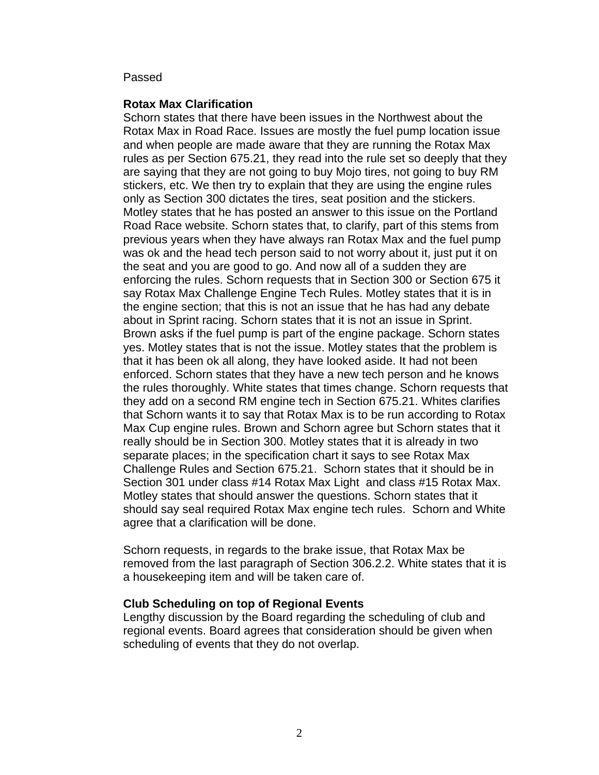#### Passed

### **Rotax Max Clarification**

Schorn states that there have been issues in the Northwest about the Rotax Max in Road Race. Issues are mostly the fuel pump location issue and when people are made aware that they are running the Rotax Max rules as per Section 675.21, they read into the rule set so deeply that they are saying that they are not going to buy Mojo tires, not going to buy RM stickers, etc. We then try to explain that they are using the engine rules only as Section 300 dictates the tires, seat position and the stickers. Motley states that he has posted an answer to this issue on the Portland Road Race website. Schorn states that, to clarify, part of this stems from previous years when they have always ran Rotax Max and the fuel pump was ok and the head tech person said to not worry about it, just put it on the seat and you are good to go. And now all of a sudden they are enforcing the rules. Schorn requests that in Section 300 or Section 675 it say Rotax Max Challenge Engine Tech Rules. Motley states that it is in the engine section; that this is not an issue that he has had any debate about in Sprint racing. Schorn states that it is not an issue in Sprint. Brown asks if the fuel pump is part of the engine package. Schorn states yes. Motley states that is not the issue. Motley states that the problem is that it has been ok all along, they have looked aside. It had not been enforced. Schorn states that they have a new tech person and he knows the rules thoroughly. White states that times change. Schorn requests that they add on a second RM engine tech in Section 675.21. Whites clarifies that Schorn wants it to say that Rotax Max is to be run according to Rotax Max Cup engine rules. Brown and Schorn agree but Schorn states that it really should be in Section 300. Motley states that it is already in two separate places; in the specification chart it says to see Rotax Max Challenge Rules and Section 675.21. Schorn states that it should be in Section 301 under class #14 Rotax Max Light and class #15 Rotax Max. Motley states that should answer the questions. Schorn states that it should say seal required Rotax Max engine tech rules. Schorn and White agree that a clarification will be done.

Schorn requests, in regards to the brake issue, that Rotax Max be removed from the last paragraph of Section 306.2.2. White states that it is a housekeeping item and will be taken care of.

### **Club Scheduling on top of Regional Events**

Lengthy discussion by the Board regarding the scheduling of club and regional events. Board agrees that consideration should be given when scheduling of events that they do not overlap.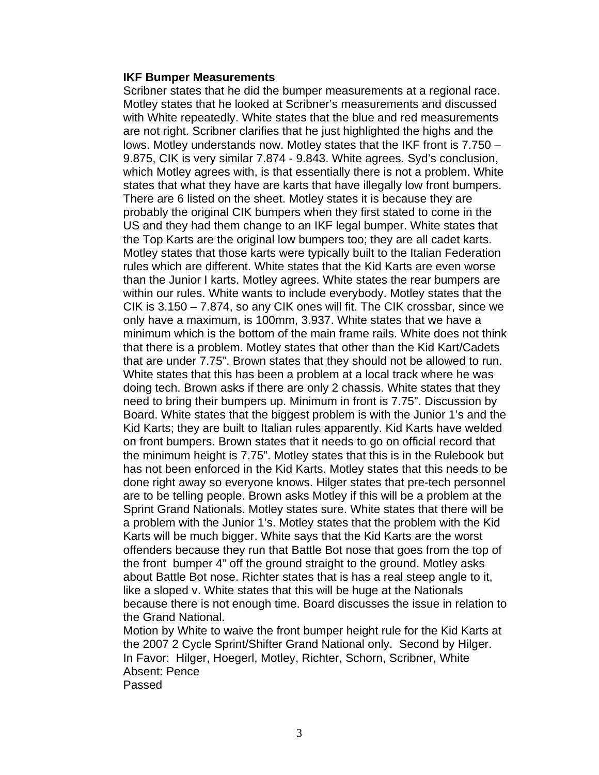#### **IKF Bumper Measurements**

Scribner states that he did the bumper measurements at a regional race. Motley states that he looked at Scribner's measurements and discussed with White repeatedly. White states that the blue and red measurements are not right. Scribner clarifies that he just highlighted the highs and the lows. Motley understands now. Motley states that the IKF front is 7.750 – 9.875, CIK is very similar 7.874 - 9.843. White agrees. Syd's conclusion, which Motley agrees with, is that essentially there is not a problem. White states that what they have are karts that have illegally low front bumpers. There are 6 listed on the sheet. Motley states it is because they are probably the original CIK bumpers when they first stated to come in the US and they had them change to an IKF legal bumper. White states that the Top Karts are the original low bumpers too; they are all cadet karts. Motley states that those karts were typically built to the Italian Federation rules which are different. White states that the Kid Karts are even worse than the Junior I karts. Motley agrees. White states the rear bumpers are within our rules. White wants to include everybody. Motley states that the CIK is 3.150 – 7.874, so any CIK ones will fit. The CIK crossbar, since we only have a maximum, is 100mm, 3.937. White states that we have a minimum which is the bottom of the main frame rails. White does not think that there is a problem. Motley states that other than the Kid Kart/Cadets that are under 7.75". Brown states that they should not be allowed to run. White states that this has been a problem at a local track where he was doing tech. Brown asks if there are only 2 chassis. White states that they need to bring their bumpers up. Minimum in front is 7.75". Discussion by Board. White states that the biggest problem is with the Junior 1's and the Kid Karts; they are built to Italian rules apparently. Kid Karts have welded on front bumpers. Brown states that it needs to go on official record that the minimum height is 7.75". Motley states that this is in the Rulebook but has not been enforced in the Kid Karts. Motley states that this needs to be done right away so everyone knows. Hilger states that pre-tech personnel are to be telling people. Brown asks Motley if this will be a problem at the Sprint Grand Nationals. Motley states sure. White states that there will be a problem with the Junior 1's. Motley states that the problem with the Kid Karts will be much bigger. White says that the Kid Karts are the worst offenders because they run that Battle Bot nose that goes from the top of the front bumper 4" off the ground straight to the ground. Motley asks about Battle Bot nose. Richter states that is has a real steep angle to it, like a sloped v. White states that this will be huge at the Nationals because there is not enough time. Board discusses the issue in relation to the Grand National.

Motion by White to waive the front bumper height rule for the Kid Karts at the 2007 2 Cycle Sprint/Shifter Grand National only. Second by Hilger. In Favor: Hilger, Hoegerl, Motley, Richter, Schorn, Scribner, White Absent: Pence

Passed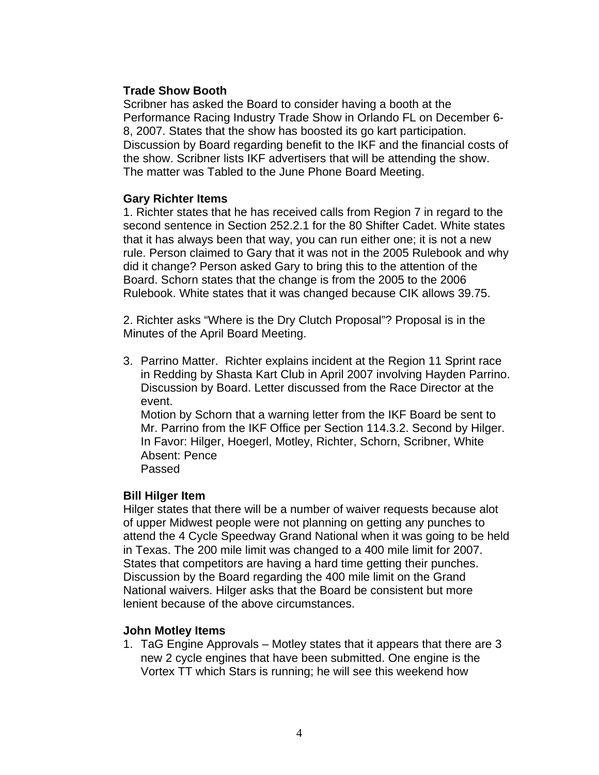# **Trade Show Booth**

Scribner has asked the Board to consider having a booth at the Performance Racing Industry Trade Show in Orlando FL on December 6- 8, 2007. States that the show has boosted its go kart participation. Discussion by Board regarding benefit to the IKF and the financial costs of the show. Scribner lists IKF advertisers that will be attending the show. The matter was Tabled to the June Phone Board Meeting.

### **Gary Richter Items**

1. Richter states that he has received calls from Region 7 in regard to the second sentence in Section 252.2.1 for the 80 Shifter Cadet. White states that it has always been that way, you can run either one; it is not a new rule. Person claimed to Gary that it was not in the 2005 Rulebook and why did it change? Person asked Gary to bring this to the attention of the Board. Schorn states that the change is from the 2005 to the 2006 Rulebook. White states that it was changed because CIK allows 39.75.

2. Richter asks "Where is the Dry Clutch Proposal"? Proposal is in the Minutes of the April Board Meeting.

3. Parrino Matter. Richter explains incident at the Region 11 Sprint race in Redding by Shasta Kart Club in April 2007 involving Hayden Parrino. Discussion by Board. Letter discussed from the Race Director at the event. Motion by Schorn that a warning letter from the IKF Board be sent to

Mr. Parrino from the IKF Office per Section 114.3.2. Second by Hilger. In Favor: Hilger, Hoegerl, Motley, Richter, Schorn, Scribner, White Absent: Pence

Passed

# **Bill Hilger Item**

Hilger states that there will be a number of waiver requests because alot of upper Midwest people were not planning on getting any punches to attend the 4 Cycle Speedway Grand National when it was going to be held in Texas. The 200 mile limit was changed to a 400 mile limit for 2007. States that competitors are having a hard time getting their punches. Discussion by the Board regarding the 400 mile limit on the Grand National waivers. Hilger asks that the Board be consistent but more lenient because of the above circumstances.

# **John Motley Items**

1. TaG Engine Approvals – Motley states that it appears that there are 3 new 2 cycle engines that have been submitted. One engine is the Vortex TT which Stars is running; he will see this weekend how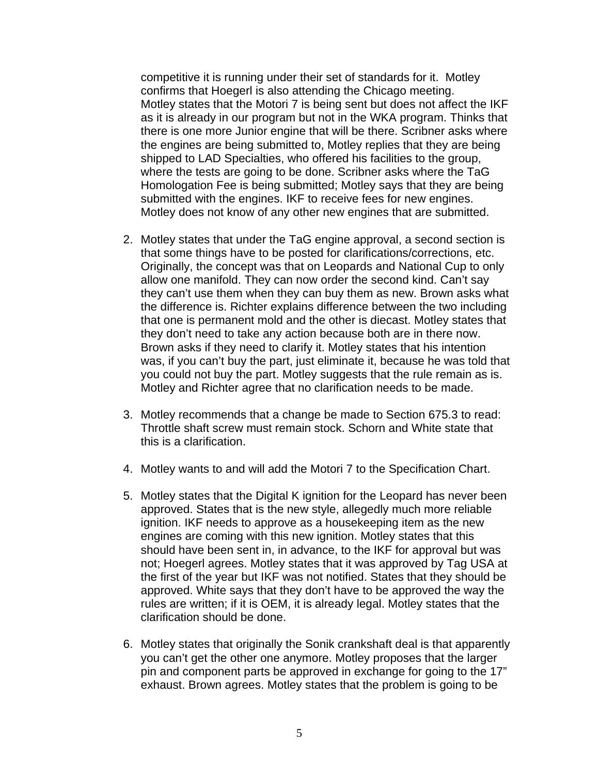competitive it is running under their set of standards for it. Motley confirms that Hoegerl is also attending the Chicago meeting. Motley states that the Motori 7 is being sent but does not affect the IKF as it is already in our program but not in the WKA program. Thinks that there is one more Junior engine that will be there. Scribner asks where the engines are being submitted to, Motley replies that they are being shipped to LAD Specialties, who offered his facilities to the group, where the tests are going to be done. Scribner asks where the TaG Homologation Fee is being submitted; Motley says that they are being submitted with the engines. IKF to receive fees for new engines. Motley does not know of any other new engines that are submitted.

- 2. Motley states that under the TaG engine approval, a second section is that some things have to be posted for clarifications/corrections, etc. Originally, the concept was that on Leopards and National Cup to only allow one manifold. They can now order the second kind. Can't say they can't use them when they can buy them as new. Brown asks what the difference is. Richter explains difference between the two including that one is permanent mold and the other is diecast. Motley states that they don't need to take any action because both are in there now. Brown asks if they need to clarify it. Motley states that his intention was, if you can't buy the part, just eliminate it, because he was told that you could not buy the part. Motley suggests that the rule remain as is. Motley and Richter agree that no clarification needs to be made.
- 3. Motley recommends that a change be made to Section 675.3 to read: Throttle shaft screw must remain stock. Schorn and White state that this is a clarification.
- 4. Motley wants to and will add the Motori 7 to the Specification Chart.
- 5. Motley states that the Digital K ignition for the Leopard has never been approved. States that is the new style, allegedly much more reliable ignition. IKF needs to approve as a housekeeping item as the new engines are coming with this new ignition. Motley states that this should have been sent in, in advance, to the IKF for approval but was not; Hoegerl agrees. Motley states that it was approved by Tag USA at the first of the year but IKF was not notified. States that they should be approved. White says that they don't have to be approved the way the rules are written; if it is OEM, it is already legal. Motley states that the clarification should be done.
- 6. Motley states that originally the Sonik crankshaft deal is that apparently you can't get the other one anymore. Motley proposes that the larger pin and component parts be approved in exchange for going to the 17" exhaust. Brown agrees. Motley states that the problem is going to be